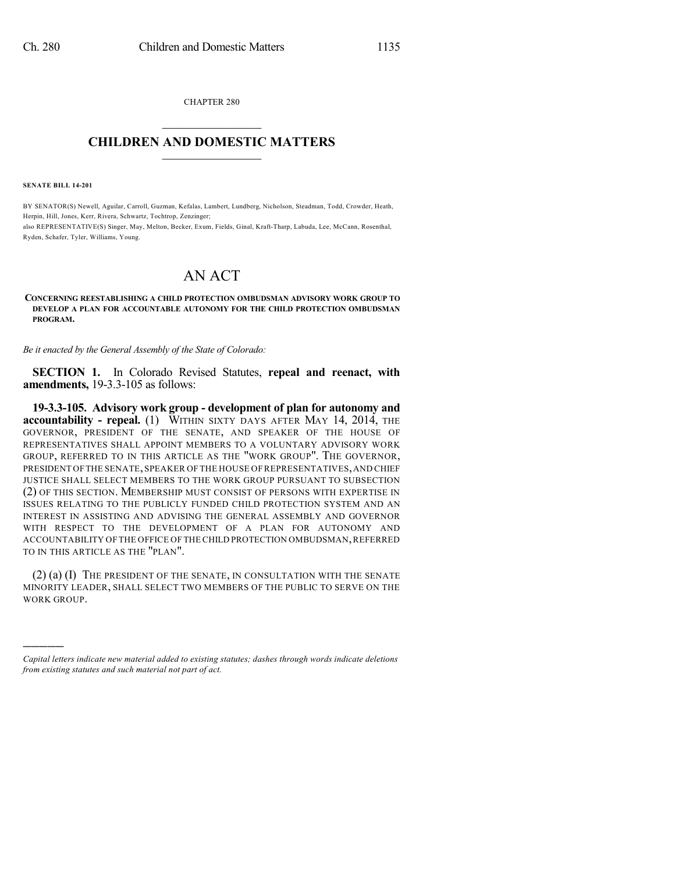CHAPTER 280  $\overline{\phantom{a}}$  . The set of the set of the set of the set of the set of the set of the set of the set of the set of the set of the set of the set of the set of the set of the set of the set of the set of the set of the set o

## **CHILDREN AND DOMESTIC MATTERS**  $\_$

**SENATE BILL 14-201**

)))))

BY SENATOR(S) Newell, Aguilar, Carroll, Guzman, Kefalas, Lambert, Lundberg, Nicholson, Steadman, Todd, Crowder, Heath, Herpin, Hill, Jones, Kerr, Rivera, Schwartz, Tochtrop, Zenzinger; also REPRESENTATIVE(S) Singer, May, Melton, Becker, Exum, Fields, Ginal, Kraft-Tharp, Labuda, Lee, McCann, Rosenthal, Ryden, Schafer, Tyler, Williams, Young.

## AN ACT

**CONCERNING REESTABLISHING A CHILD PROTECTION OMBUDSMAN ADVISORY WORK GROUP TO DEVELOP A PLAN FOR ACCOUNTABLE AUTONOMY FOR THE CHILD PROTECTION OMBUDSMAN PROGRAM.**

*Be it enacted by the General Assembly of the State of Colorado:*

**SECTION 1.** In Colorado Revised Statutes, **repeal and reenact, with amendments,** 19-3.3-105 as follows:

**19-3.3-105. Advisory work group - development of plan for autonomy and accountability - repeal.** (1) WITHIN SIXTY DAYS AFTER MAY 14, 2014, THE GOVERNOR, PRESIDENT OF THE SENATE, AND SPEAKER OF THE HOUSE OF REPRESENTATIVES SHALL APPOINT MEMBERS TO A VOLUNTARY ADVISORY WORK GROUP, REFERRED TO IN THIS ARTICLE AS THE "WORK GROUP". THE GOVERNOR, PRESIDENT OFTHE SENATE,SPEAKER OFTHE HOUSE OF REPRESENTATIVES,AND CHIEF JUSTICE SHALL SELECT MEMBERS TO THE WORK GROUP PURSUANT TO SUBSECTION (2) OF THIS SECTION. MEMBERSHIP MUST CONSIST OF PERSONS WITH EXPERTISE IN ISSUES RELATING TO THE PUBLICLY FUNDED CHILD PROTECTION SYSTEM AND AN INTEREST IN ASSISTING AND ADVISING THE GENERAL ASSEMBLY AND GOVERNOR WITH RESPECT TO THE DEVELOPMENT OF A PLAN FOR AUTONOMY AND ACCOUNTABILITY OFTHE OFFICE OF THE CHILD PROTECTION OMBUDSMAN,REFERRED TO IN THIS ARTICLE AS THE "PLAN".

(2) (a) (I) THE PRESIDENT OF THE SENATE, IN CONSULTATION WITH THE SENATE MINORITY LEADER, SHALL SELECT TWO MEMBERS OF THE PUBLIC TO SERVE ON THE WORK GROUP.

*Capital letters indicate new material added to existing statutes; dashes through words indicate deletions from existing statutes and such material not part of act.*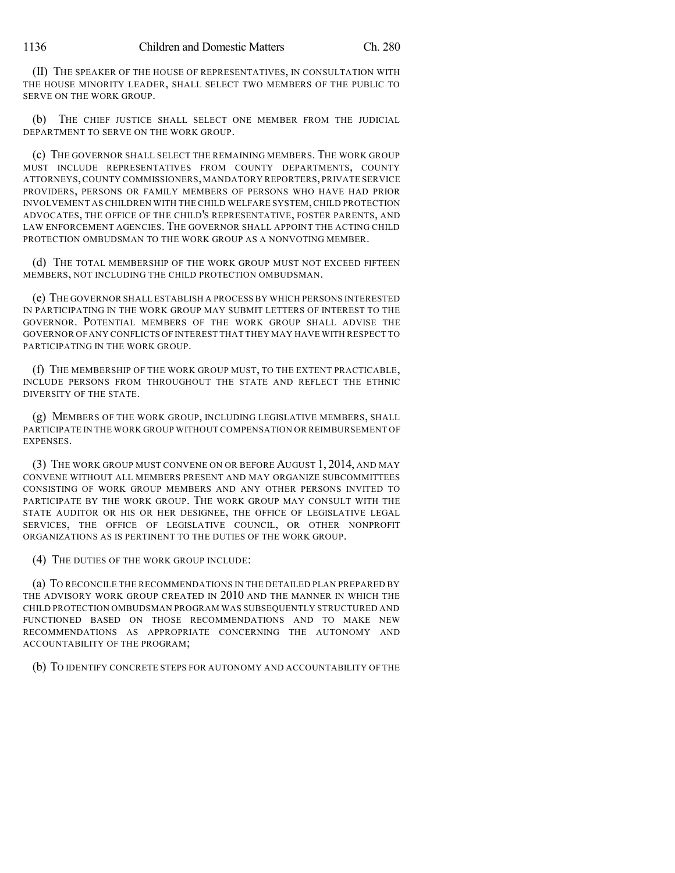(II) THE SPEAKER OF THE HOUSE OF REPRESENTATIVES, IN CONSULTATION WITH THE HOUSE MINORITY LEADER, SHALL SELECT TWO MEMBERS OF THE PUBLIC TO SERVE ON THE WORK GROUP.

(b) THE CHIEF JUSTICE SHALL SELECT ONE MEMBER FROM THE JUDICIAL DEPARTMENT TO SERVE ON THE WORK GROUP.

(c) THE GOVERNOR SHALL SELECT THE REMAINING MEMBERS. THE WORK GROUP MUST INCLUDE REPRESENTATIVES FROM COUNTY DEPARTMENTS, COUNTY ATTORNEYS,COUNTY COMMISSIONERS,MANDATORY REPORTERS, PRIVATE SERVICE PROVIDERS, PERSONS OR FAMILY MEMBERS OF PERSONS WHO HAVE HAD PRIOR INVOLVEMENT AS CHILDREN WITH THE CHILD WELFARE SYSTEM, CHILD PROTECTION ADVOCATES, THE OFFICE OF THE CHILD'S REPRESENTATIVE, FOSTER PARENTS, AND LAW ENFORCEMENT AGENCIES. THE GOVERNOR SHALL APPOINT THE ACTING CHILD PROTECTION OMBUDSMAN TO THE WORK GROUP AS A NONVOTING MEMBER.

(d) THE TOTAL MEMBERSHIP OF THE WORK GROUP MUST NOT EXCEED FIFTEEN MEMBERS, NOT INCLUDING THE CHILD PROTECTION OMBUDSMAN.

(e) THE GOVERNOR SHALL ESTABLISH A PROCESS BY WHICH PERSONS INTERESTED IN PARTICIPATING IN THE WORK GROUP MAY SUBMIT LETTERS OF INTEREST TO THE GOVERNOR. POTENTIAL MEMBERS OF THE WORK GROUP SHALL ADVISE THE GOVERNOR OF ANY CONFLICTS OF INTEREST THAT THEY MAY HAVE WITH RESPECT TO PARTICIPATING IN THE WORK GROUP.

(f) THE MEMBERSHIP OF THE WORK GROUP MUST, TO THE EXTENT PRACTICABLE, INCLUDE PERSONS FROM THROUGHOUT THE STATE AND REFLECT THE ETHNIC DIVERSITY OF THE STATE.

(g) MEMBERS OF THE WORK GROUP, INCLUDING LEGISLATIVE MEMBERS, SHALL PARTICIPATE IN THE WORK GROUP WITHOUT COMPENSATION OR REIMBURSEMENT OF EXPENSES.

(3) THE WORK GROUP MUST CONVENE ON OR BEFORE AUGUST 1, 2014, AND MAY CONVENE WITHOUT ALL MEMBERS PRESENT AND MAY ORGANIZE SUBCOMMITTEES CONSISTING OF WORK GROUP MEMBERS AND ANY OTHER PERSONS INVITED TO PARTICIPATE BY THE WORK GROUP. THE WORK GROUP MAY CONSULT WITH THE STATE AUDITOR OR HIS OR HER DESIGNEE, THE OFFICE OF LEGISLATIVE LEGAL SERVICES, THE OFFICE OF LEGISLATIVE COUNCIL, OR OTHER NONPROFIT ORGANIZATIONS AS IS PERTINENT TO THE DUTIES OF THE WORK GROUP.

(4) THE DUTIES OF THE WORK GROUP INCLUDE:

(a) TO RECONCILE THE RECOMMENDATIONS IN THE DETAILED PLAN PREPARED BY THE ADVISORY WORK GROUP CREATED IN 2010 AND THE MANNER IN WHICH THE CHILD PROTECTION OMBUDSMAN PROGRAM WAS SUBSEQUENTLY STRUCTURED AND FUNCTIONED BASED ON THOSE RECOMMENDATIONS AND TO MAKE NEW RECOMMENDATIONS AS APPROPRIATE CONCERNING THE AUTONOMY AND ACCOUNTABILITY OF THE PROGRAM;

(b) TO IDENTIFY CONCRETE STEPS FOR AUTONOMY AND ACCOUNTABILITY OF THE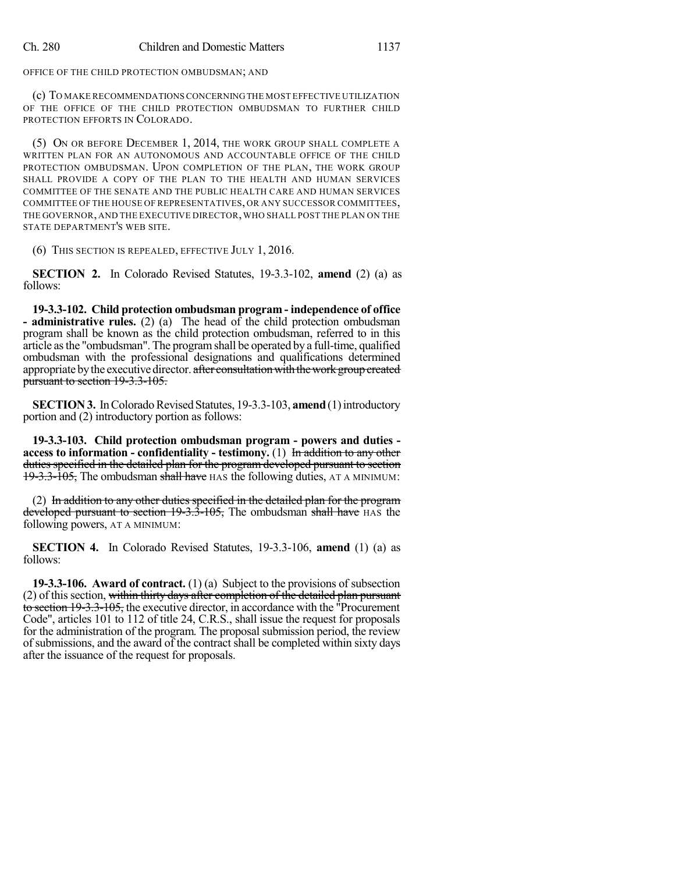OFFICE OF THE CHILD PROTECTION OMBUDSMAN; AND

(c) TO MAKE RECOMMENDATIONSCONCERNINGTHE MOST EFFECTIVE UTILIZATION OF THE OFFICE OF THE CHILD PROTECTION OMBUDSMAN TO FURTHER CHILD PROTECTION EFFORTS IN COLORADO.

(5) ON OR BEFORE DECEMBER 1, 2014, THE WORK GROUP SHALL COMPLETE A WRITTEN PLAN FOR AN AUTONOMOUS AND ACCOUNTABLE OFFICE OF THE CHILD PROTECTION OMBUDSMAN. UPON COMPLETION OF THE PLAN, THE WORK GROUP SHALL PROVIDE A COPY OF THE PLAN TO THE HEALTH AND HUMAN SERVICES COMMITTEE OF THE SENATE AND THE PUBLIC HEALTH CARE AND HUMAN SERVICES COMMITTEE OF THE HOUSE OF REPRESENTATIVES, OR ANY SUCCESSOR COMMITTEES, THE GOVERNOR, AND THE EXECUTIVE DIRECTOR,WHO SHALL POST THE PLAN ON THE STATE DEPARTMENT'S WEB SITE.

(6) THIS SECTION IS REPEALED, EFFECTIVE JULY 1, 2016.

**SECTION 2.** In Colorado Revised Statutes, 19-3.3-102, **amend** (2) (a) as follows:

**19-3.3-102. Child protection ombudsman program - independence of office - administrative rules.** (2) (a) The head of the child protection ombudsman program shall be known as the child protection ombudsman, referred to in this article asthe "ombudsman". The programshall be operated by a full-time, qualified ombudsman with the professional designations and qualifications determined appropriate by the executive director. after consultation with the work group created pursuant to section 19-3.3-105.

**SECTION 3.** In Colorado Revised Statutes, 19-3.3-103, **amend** (1) introductory portion and (2) introductory portion as follows:

**19-3.3-103. Child protection ombudsman program - powers and duties access to information - confidentiality - testimony.** (1) In addition to any other duties specified in the detailed plan for the program developed pursuant to section  $19-3.3-105$ , The ombudsman shall have HAS the following duties, AT A MINIMUM:

(2) In addition to any other duties specified in the detailed plan for the program developed pursuant to section 19-3.3-105, The ombudsman shall have HAS the following powers, AT A MINIMUM:

**SECTION 4.** In Colorado Revised Statutes, 19-3.3-106, **amend** (1) (a) as follows:

**19-3.3-106. Award of contract.** (1) (a) Subject to the provisions of subsection (2) of this section, within thirty days after completion of the detailed plan pursuant to section 19-3.3-105, the executive director, in accordance with the "Procurement Code", articles 101 to 112 of title 24, C.R.S., shall issue the request for proposals for the administration of the program. The proposal submission period, the review of submissions, and the award of the contract shall be completed within sixty days after the issuance of the request for proposals.